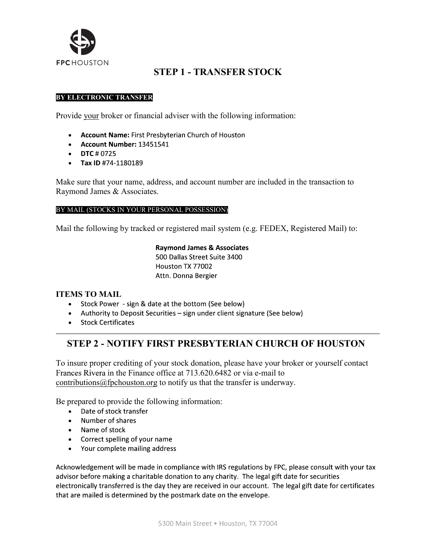

## STEP 1 - TRANSFER STOCK

#### BY ELECTRONIC TRANSFER

Provide your broker or financial adviser with the following information:

- **Account Name: First Presbyterian Church of Houston**
- Account Number: 13451541
- DTC # 0725
- Tax ID #74-1180189

Make sure that your name, address, and account number are included in the transaction to Raymond James & Associates.

#### BY MAIL (STOCKS IN YOUR PERSONAL POSSESSION)

Mail the following by tracked or registered mail system (e.g. FEDEX, Registered Mail) to:

**Raymond James & Associates** 500 Dallas Street Suite 3400 Houston TX 77002 Attn. Donna Bergier

#### ITEMS TO MAIL

- Stock Power sign & date at the bottom (See below)
- Authority to Deposit Securities sign under client signature (See below)
- Stock Certificates

## STEP 2 - NOTIFY FIRST PRESBYTERIAN CHURCH OF HOUSTON

To insure proper crediting of your stock donation, please have your broker or yourself contact Frances Rivera in the Finance office at 713.620.6482 or via e-mail to contributions@fpchouston.org to notify us that the transfer is underway.

Be prepared to provide the following information:

- Date of stock transfer
- Number of shares
- Name of stock
- Correct spelling of your name
- Your complete mailing address

Acknowledgement will be made in compliance with IRS regulations by FPC, please consult with your tax advisor before making a charitable donation to any charity. The legal gift date for securities electronically transferred is the day they are received in our account. The legal gift date for certificates that are mailed is determined by the postmark date on the envelope.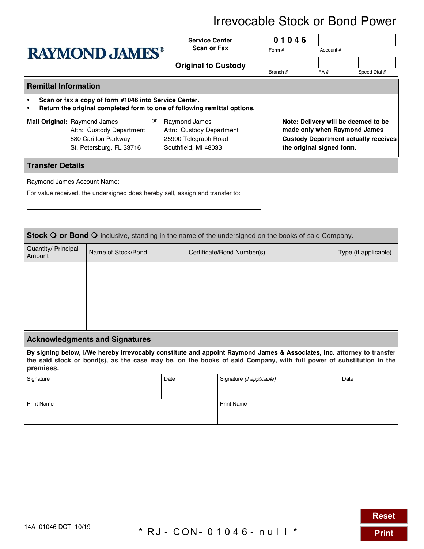## Irrevocable Stock or Bond Power

| <b>RAYMOND JAMES®</b>                                                                                                                                                                                                                                      |                    |                            | <b>Service Center</b>      |                           | 01046                                       |                           |                      |              |  |  |  |
|------------------------------------------------------------------------------------------------------------------------------------------------------------------------------------------------------------------------------------------------------------|--------------------|----------------------------|----------------------------|---------------------------|---------------------------------------------|---------------------------|----------------------|--------------|--|--|--|
|                                                                                                                                                                                                                                                            |                    |                            | <b>Scan or Fax</b>         |                           | Form #                                      | Account #                 |                      |              |  |  |  |
|                                                                                                                                                                                                                                                            |                    |                            | <b>Original to Custody</b> |                           |                                             |                           |                      |              |  |  |  |
|                                                                                                                                                                                                                                                            |                    |                            |                            |                           | Branch #                                    | FA#                       |                      | Speed Dial # |  |  |  |
| <b>Remittal Information</b>                                                                                                                                                                                                                                |                    |                            |                            |                           |                                             |                           |                      |              |  |  |  |
| Scan or fax a copy of form #1046 into Service Center.<br>$\bullet$<br>Return the original completed form to one of following remittal options.<br>$\bullet$                                                                                                |                    |                            |                            |                           |                                             |                           |                      |              |  |  |  |
| Mail Original: Raymond James                                                                                                                                                                                                                               |                    |                            |                            |                           | Note: Delivery will be deemed to be         |                           |                      |              |  |  |  |
| Attn: Custody Department<br>Attn: Custody Department                                                                                                                                                                                                       |                    |                            |                            |                           | made only when Raymond James                |                           |                      |              |  |  |  |
| 880 Carillon Parkway<br>25900 Telegraph Road                                                                                                                                                                                                               |                    |                            |                            |                           | <b>Custody Department actually receives</b> |                           |                      |              |  |  |  |
| St. Petersburg, FL 33716<br>Southfield, MI 48033                                                                                                                                                                                                           |                    |                            |                            |                           |                                             | the original signed form. |                      |              |  |  |  |
| <b>Transfer Details</b>                                                                                                                                                                                                                                    |                    |                            |                            |                           |                                             |                           |                      |              |  |  |  |
| Raymond James Account Name:                                                                                                                                                                                                                                |                    |                            |                            |                           |                                             |                           |                      |              |  |  |  |
| For value received, the undersigned does hereby sell, assign and transfer to:                                                                                                                                                                              |                    |                            |                            |                           |                                             |                           |                      |              |  |  |  |
|                                                                                                                                                                                                                                                            |                    |                            |                            |                           |                                             |                           |                      |              |  |  |  |
|                                                                                                                                                                                                                                                            |                    |                            |                            |                           |                                             |                           |                      |              |  |  |  |
| Stock O or Bond O inclusive, standing in the name of the undersigned on the books of said Company.                                                                                                                                                         |                    |                            |                            |                           |                                             |                           |                      |              |  |  |  |
| Quantity/ Principal<br>Amount                                                                                                                                                                                                                              | Name of Stock/Bond | Certificate/Bond Number(s) |                            |                           |                                             |                           | Type (if applicable) |              |  |  |  |
|                                                                                                                                                                                                                                                            |                    |                            |                            |                           |                                             |                           |                      |              |  |  |  |
|                                                                                                                                                                                                                                                            |                    |                            |                            |                           |                                             |                           |                      |              |  |  |  |
|                                                                                                                                                                                                                                                            |                    |                            |                            |                           |                                             |                           |                      |              |  |  |  |
|                                                                                                                                                                                                                                                            |                    |                            |                            |                           |                                             |                           |                      |              |  |  |  |
|                                                                                                                                                                                                                                                            |                    |                            |                            |                           |                                             |                           |                      |              |  |  |  |
|                                                                                                                                                                                                                                                            |                    |                            |                            |                           |                                             |                           |                      |              |  |  |  |
| <b>Acknowledgments and Signatures</b>                                                                                                                                                                                                                      |                    |                            |                            |                           |                                             |                           |                      |              |  |  |  |
| By signing below, I/We hereby irrevocably constitute and appoint Raymond James & Associates, Inc. attorney to transfer<br>the said stock or bond(s), as the case may be, on the books of said Company, with full power of substitution in the<br>premises. |                    |                            |                            |                           |                                             |                           |                      |              |  |  |  |
| Signature                                                                                                                                                                                                                                                  |                    | Date                       |                            | Signature (if applicable) |                                             |                           | Date                 |              |  |  |  |
|                                                                                                                                                                                                                                                            |                    |                            |                            |                           |                                             |                           |                      |              |  |  |  |
| <b>Print Name</b>                                                                                                                                                                                                                                          |                    |                            |                            | <b>Print Name</b>         |                                             |                           |                      |              |  |  |  |
|                                                                                                                                                                                                                                                            |                    |                            |                            |                           |                                             |                           |                      |              |  |  |  |

**Reset**